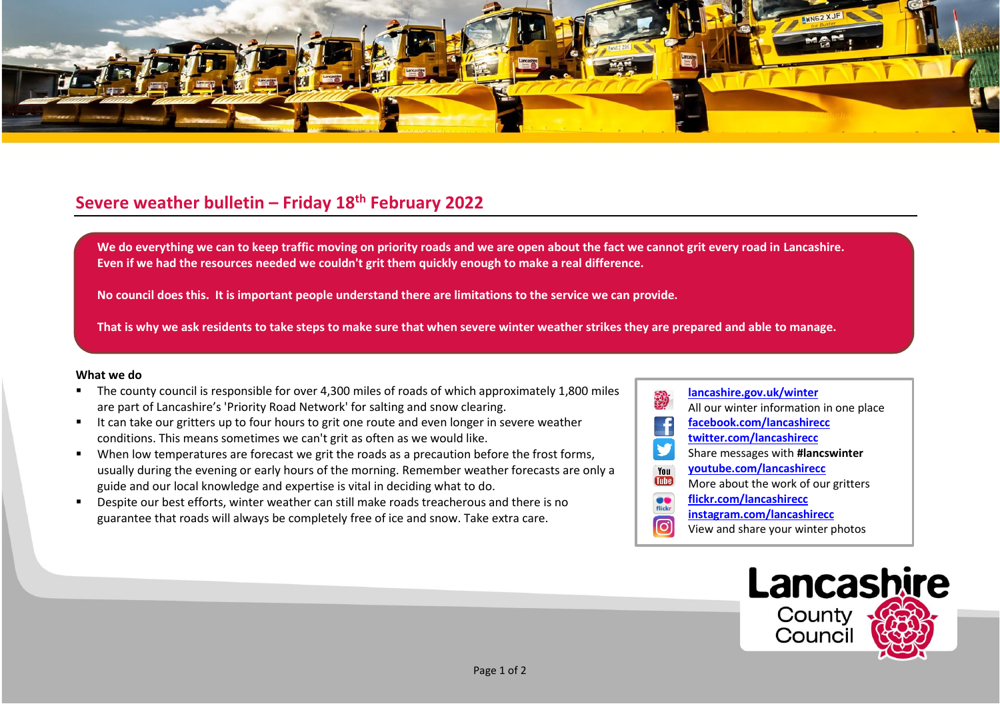

## **Severe weather bulletin – Friday 18th February 2022**

We do everything we can to keep traffic moving on priority roads and we are open about the fact we cannot grit every road in Lancashire. **Even if we had the resources needed we couldn't grit them quickly enough to make a real difference.**

**No council does this. It is important people understand there are limitations to the service we can provide.**

**That is why we ask residents to take steps to make sure that when severe winter weather strikes they are prepared and able to manage.**

## **What we do**

- The county council is responsible for over 4,300 miles of roads of which approximately 1,800 miles are part of Lancashire's 'Priority Road Network' for salting and snow clearing.
- It can take our gritters up to four hours to grit one route and even longer in severe weather conditions. This means sometimes we can't grit as often as we would like.
- When low temperatures are forecast we grit the roads as a precaution before the frost forms, usually during the evening or early hours of the morning. Remember weather forecasts are only a guide and our local knowledge and expertise is vital in deciding what to do.
- Despite our best efforts, winter weather can still make roads treacherous and there is no guarantee that roads will always be completely free of ice and snow. Take extra care.
- **[lancashire.gov.uk/winter](http://www.lancashire.gov.uk/winter)** All our winter information in one place **[facebook.com/lancashirecc](http://www.facebook.com/lancashirecc) [twitter.com/lancashirecc](http://www.twitter.com/lancashirecc)** y Share messages with **#lancswinter [youtube.com/lancashirecc](http://www.youtube.com/lancashirecc)** You **Tilte** More about the work of our gritters  $\bullet$ **[flickr.com/lancashirecc](http://www.flickr.com/lancashirecc)** flickr **[instagram.com/lancashirecc](http://www.instagram.com/lancashirecc)** ြင View and share your winter photos